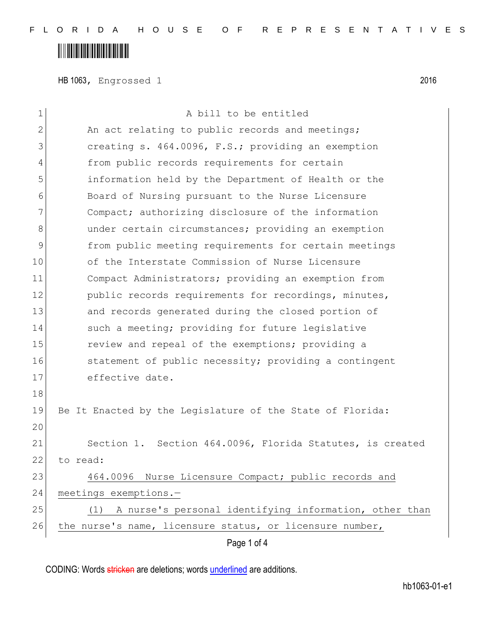## 

HB 1063, Engrossed 1 2016

| 1  | A bill to be entitled                                      |
|----|------------------------------------------------------------|
| 2  | An act relating to public records and meetings;            |
| 3  | creating s. 464.0096, F.S.; providing an exemption         |
| 4  | from public records requirements for certain               |
| 5  | information held by the Department of Health or the        |
| 6  | Board of Nursing pursuant to the Nurse Licensure           |
| 7  | Compact; authorizing disclosure of the information         |
| 8  | under certain circumstances; providing an exemption        |
| 9  | from public meeting requirements for certain meetings      |
| 10 | of the Interstate Commission of Nurse Licensure            |
| 11 | Compact Administrators; providing an exemption from        |
| 12 | public records requirements for recordings, minutes,       |
| 13 | and records generated during the closed portion of         |
| 14 | such a meeting; providing for future legislative           |
| 15 | review and repeal of the exemptions; providing a           |
| 16 | statement of public necessity; providing a contingent      |
| 17 | effective date.                                            |
| 18 |                                                            |
| 19 | Be It Enacted by the Legislature of the State of Florida:  |
| 20 |                                                            |
| 21 | Section 1. Section 464.0096, Florida Statutes, is created  |
| 22 | to read:                                                   |
| 23 | 464.0096 Nurse Licensure Compact; public records and       |
| 24 | meetings exemptions.-                                      |
| 25 | (1) A nurse's personal identifying information, other than |
| 26 | the nurse's name, licensure status, or licensure number,   |
|    | Page 1 of 4                                                |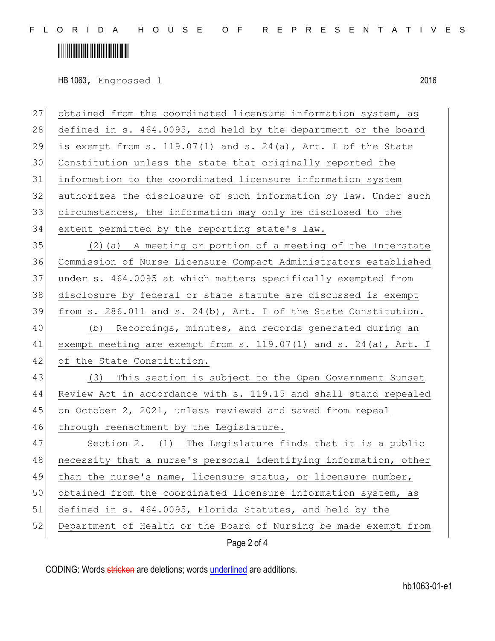F L O R I D A H O U S E O F R E P R E S E N T A T I V E S

## 

HB 1063, Engrossed 1 2016

| 27 | obtained from the coordinated licensure information system, as        |
|----|-----------------------------------------------------------------------|
| 28 | defined in s. 464.0095, and held by the department or the board       |
| 29 | is exempt from s. 119.07(1) and s. 24(a), Art. I of the State         |
| 30 | Constitution unless the state that originally reported the            |
| 31 | information to the coordinated licensure information system           |
| 32 | authorizes the disclosure of such information by law. Under such      |
| 33 | circumstances, the information may only be disclosed to the           |
| 34 | extent permitted by the reporting state's law.                        |
| 35 | (2) (a) A meeting or portion of a meeting of the Interstate           |
| 36 | Commission of Nurse Licensure Compact Administrators established      |
| 37 | under s. 464.0095 at which matters specifically exempted from         |
| 38 | disclosure by federal or state statute are discussed is exempt        |
| 39 | from s. 286.011 and s. 24(b), Art. I of the State Constitution.       |
| 40 | (b) Recordings, minutes, and records generated during an              |
| 41 | exempt meeting are exempt from s. $119.07(1)$ and s. $24(a)$ , Art. I |
| 42 | of the State Constitution.                                            |
| 43 | (3)<br>This section is subject to the Open Government Sunset          |
| 44 | Review Act in accordance with s. 119.15 and shall stand repealed      |
| 45 | on October 2, 2021, unless reviewed and saved from repeal             |
| 46 | through reenactment by the Legislature.                               |
| 47 | Section 2. (1) The Legislature finds that it is a public              |
| 48 | necessity that a nurse's personal identifying information, other      |
| 49 | than the nurse's name, licensure status, or licensure number,         |
| 50 | obtained from the coordinated licensure information system, as        |
| 51 | defined in s. 464.0095, Florida Statutes, and held by the             |
| 52 | Department of Health or the Board of Nursing be made exempt from      |
|    | Page 2 of 4                                                           |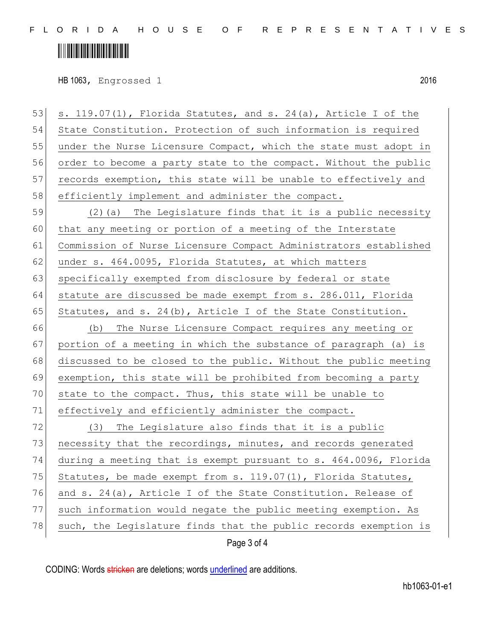### 

HB 1063, Engrossed 1 2016

Page 3 of 4 53  $\vert$  s. 119.07(1), Florida Statutes, and s. 24(a), Article I of the 54 State Constitution. Protection of such information is required 55 under the Nurse Licensure Compact, which the state must adopt in 56 order to become a party state to the compact. Without the public 57 records exemption, this state will be unable to effectively and 58 efficiently implement and administer the compact. 59 (2)(a) The Legislature finds that it is a public necessity 60 that any meeting or portion of a meeting of the Interstate 61 Commission of Nurse Licensure Compact Administrators established 62 under s. 464.0095, Florida Statutes, at which matters 63 specifically exempted from disclosure by federal or state 64 statute are discussed be made exempt from s. 286.011, Florida 65 Statutes, and s. 24(b), Article I of the State Constitution. 66 (b) The Nurse Licensure Compact requires any meeting or 67 portion of a meeting in which the substance of paragraph (a) is 68 discussed to be closed to the public. Without the public meeting 69 exemption, this state will be prohibited from becoming a party 70 state to the compact. Thus, this state will be unable to 71 effectively and efficiently administer the compact.  $72$  (3) The Legislature also finds that it is a public 73 necessity that the recordings, minutes, and records generated 74 during a meeting that is exempt pursuant to s. 464.0096, Florida 75 Statutes, be made exempt from s.  $119.07(1)$ , Florida Statutes, 76 and s. 24(a), Article I of the State Constitution. Release of 77 such information would negate the public meeting exemption. As 78 such, the Legislature finds that the public records exemption is